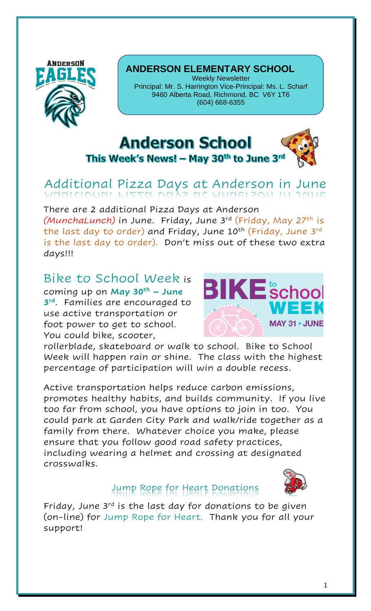

#### **ANDERSON ELEMENTARY SCHOOL**

Weekly Newsletter Principal: Mr. S. Harrington Vice-Principal: Ms. L. Scharf 9460 Alberta Road, Richmond, BC V6Y 1T6 (604) 668-6355

## **Anderson School**

This Week's News! - May 30th to June 3rd

# Additional Pizza Days at Anderson in June

There are 2 additional Pizza Days at Anderson *(MunchaLunch)* in June. Friday, June 3<sup>rd</sup> (<del>F</del>riday, May 27<sup>th</sup> is the last day to order) and Friday, June 10<sup>th</sup> (Friday, June 3<sup>rd</sup> is the last day to order). Don't miss out of these two extra days!!!

### Bike to School Week is

coming up on **May 30th – June 3 rd**. Families are encouraged to use active transportation or foot power to get to school. You could bike, scooter,



rollerblade, skateboard or walk to school. Bike to School Week will happen rain or shine. The class with the highest percentage of participation will win a double recess.

Active transportation helps reduce carbon emissions, promotes healthy habits, and builds community. If you live too far from school, you have options to join in too. You could park at Garden City Park and walk/ride together as a family from there. Whatever choice you make, please ensure that you follow good road safety practices, including wearing a helmet and crossing at designated crosswalks.



## Jump Rope for Heart Donations

Friday, June  $3^{rd}$  is the last day for donations to be given (on-line) for Jump Rope for Heart. Thank you for all your support!